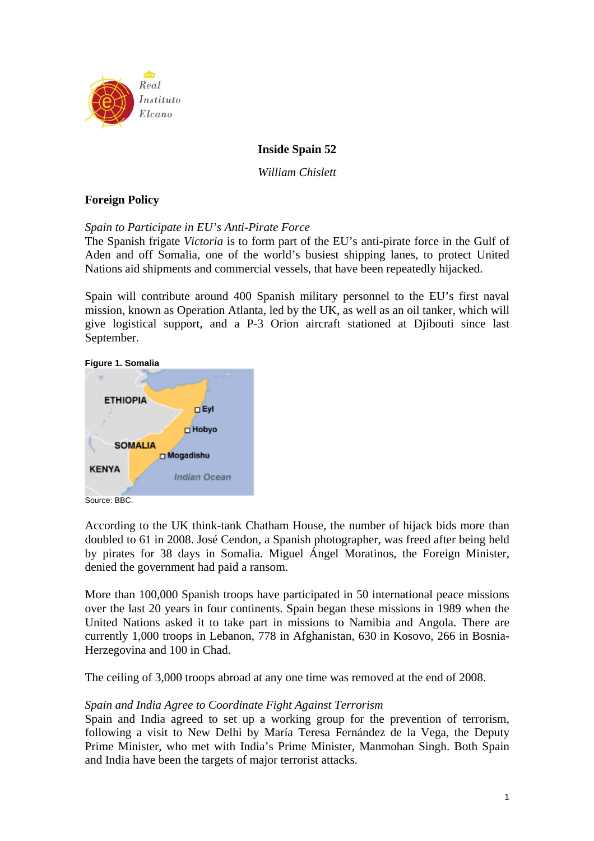

# **Inside Spain 52**

*William Chislett* 

# **Foreign Policy**

## *Spain to Participate in EU's Anti-Pirate Force*

The Spanish frigate *Victoria* is to form part of the EU's anti-pirate force in the Gulf of Aden and off Somalia, one of the world's busiest shipping lanes, to protect United Nations aid shipments and commercial vessels, that have been repeatedly hijacked.

Spain will contribute around 400 Spanish military personnel to the EU's first naval mission, known as Operation Atlanta, led by the UK, as well as an oil tanker, which will give logistical support, and a P-3 Orion aircraft stationed at Djibouti since last September.

**Figure 1. Somalia** 



Source: BBC.

According to the UK think-tank Chatham House, the number of hijack bids more than doubled to 61 in 2008. José Cendon, a Spanish photographer, was freed after being held by pirates for 38 days in Somalia. Miguel Ángel Moratinos, the Foreign Minister, denied the government had paid a ransom.

More than 100,000 Spanish troops have participated in 50 international peace missions over the last 20 years in four continents. Spain began these missions in 1989 when the United Nations asked it to take part in missions to Namibia and Angola. There are currently 1,000 troops in Lebanon, 778 in Afghanistan, 630 in Kosovo, 266 in Bosnia-Herzegovina and 100 in Chad.

The ceiling of 3,000 troops abroad at any one time was removed at the end of 2008.

## *Spain and India Agree to Coordinate Fight Against Terrorism*

Spain and India agreed to set up a working group for the prevention of terrorism, following a visit to New Delhi by María Teresa Fernández de la Vega, the Deputy Prime Minister, who met with India's Prime Minister, Manmohan Singh. Both Spain and India have been the targets of major terrorist attacks.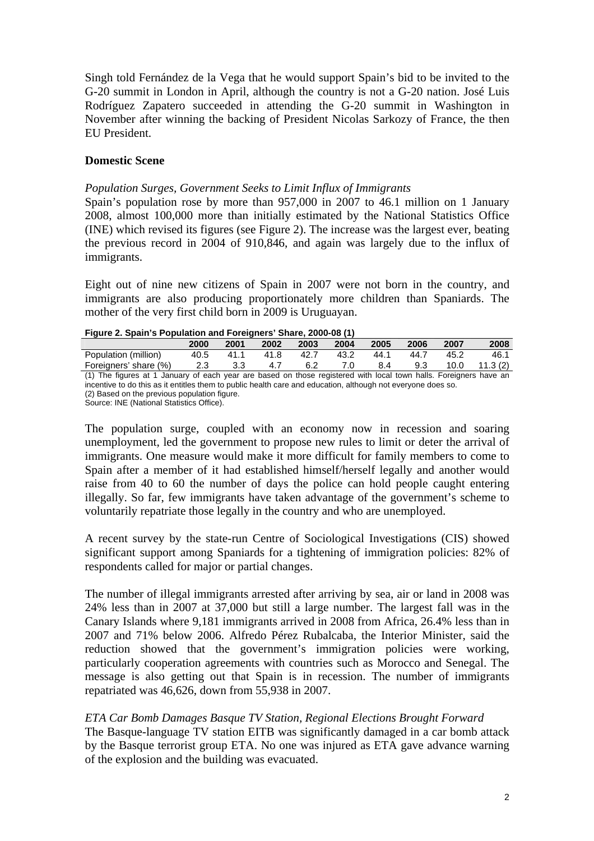Singh told Fernández de la Vega that he would support Spain's bid to be invited to the G-20 summit in London in April, although the country is not a G-20 nation. José Luis Rodríguez Zapatero succeeded in attending the G-20 summit in Washington in November after winning the backing of President Nicolas Sarkozy of France, the then EU President.

# **Domestic Scene**

## *Population Surges, Government Seeks to Limit Influx of Immigrants*

Spain's population rose by more than 957,000 in 2007 to 46.1 million on 1 January 2008, almost 100,000 more than initially estimated by the National Statistics Office (INE) which revised its figures (see Figure 2). The increase was the largest ever, beating the previous record in 2004 of 910,846, and again was largely due to the influx of immigrants.

Eight out of nine new citizens of Spain in 2007 were not born in the country, and immigrants are also producing proportionately more children than Spaniards. The mother of the very first child born in 2009 is Uruguayan.

#### **Figure 2. Spain's Population and Foreigners' Share, 2000-08 (1)**

|                                                                                                                   | 2000 | 2001 | 2002 | 2003 | 2004 | 2005 | 2006 | 2007 | 2008    |
|-------------------------------------------------------------------------------------------------------------------|------|------|------|------|------|------|------|------|---------|
| Population (million)                                                                                              | 40.5 | 41.1 | 41.8 | 42.7 | 43.2 | 44.1 | 44.7 | 45.2 | 46.1    |
| Foreigners' share (%)                                                                                             | 2.3  | 3.3  | 4.7  | 6.2  | 7.0  | 8.4  | 9.3  | 10.0 | 11.3(2) |
| (1) The figures at 1 January of each year are based on those registered with local town halls. Foreigners have an |      |      |      |      |      |      |      |      |         |
| incentive to do this as it entitles them to public health care and education, although not everyone does so.      |      |      |      |      |      |      |      |      |         |
| (2) Based on the previous population figure.                                                                      |      |      |      |      |      |      |      |      |         |

Source: INE (National Statistics Office).

The population surge, coupled with an economy now in recession and soaring unemployment, led the government to propose new rules to limit or deter the arrival of immigrants. One measure would make it more difficult for family members to come to Spain after a member of it had established himself/herself legally and another would raise from 40 to 60 the number of days the police can hold people caught entering illegally. So far, few immigrants have taken advantage of the government's scheme to voluntarily repatriate those legally in the country and who are unemployed.

A recent survey by the state-run Centre of Sociological Investigations (CIS) showed significant support among Spaniards for a tightening of immigration policies: 82% of respondents called for major or partial changes.

The number of illegal immigrants arrested after arriving by sea, air or land in 2008 was 24% less than in 2007 at 37,000 but still a large number. The largest fall was in the Canary Islands where 9,181 immigrants arrived in 2008 from Africa, 26.4% less than in 2007 and 71% below 2006. Alfredo Pérez Rubalcaba, the Interior Minister, said the reduction showed that the government's immigration policies were working, particularly cooperation agreements with countries such as Morocco and Senegal. The message is also getting out that Spain is in recession. The number of immigrants repatriated was 46,626, down from 55,938 in 2007.

# *ETA Car Bomb Damages Basque TV Station, Regional Elections Brought Forward*

The Basque-language TV station EITB was significantly damaged in a car bomb attack by the Basque terrorist group ETA. No one was injured as ETA gave advance warning of the explosion and the building was evacuated.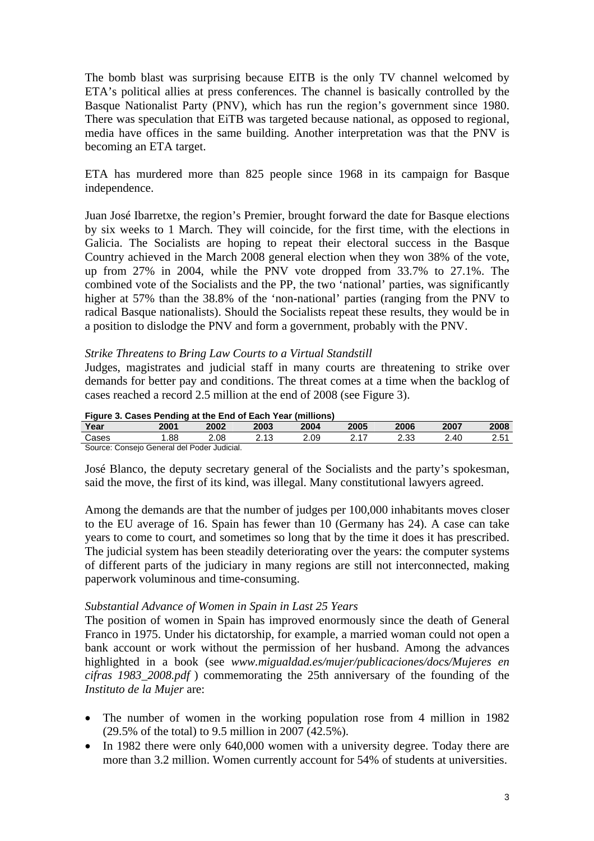The bomb blast was surprising because EITB is the only TV channel welcomed by ETA's political allies at press conferences. The channel is basically controlled by the Basque Nationalist Party (PNV), which has run the region's government since 1980. There was speculation that EiTB was targeted because national, as opposed to regional, media have offices in the same building. Another interpretation was that the PNV is becoming an ETA target.

ETA has murdered more than 825 people since 1968 in its campaign for Basque independence.

Juan José Ibarretxe, the region's Premier, brought forward the date for Basque elections by six weeks to 1 March. They will coincide, for the first time, with the elections in Galicia. The Socialists are hoping to repeat their electoral success in the Basque Country achieved in the March 2008 general election when they won 38% of the vote, up from 27% in 2004, while the PNV vote dropped from 33.7% to 27.1%. The combined vote of the Socialists and the PP, the two 'national' parties, was significantly higher at 57% than the 38.8% of the 'non-national' parties (ranging from the PNV to radical Basque nationalists). Should the Socialists repeat these results, they would be in a position to dislodge the PNV and form a government, probably with the PNV.

## *Strike Threatens to Bring Law Courts to a Virtual Standstill*

Judges, magistrates and judicial staff in many courts are threatening to strike over demands for better pay and conditions. The threat comes at a time when the backlog of cases reached a record 2.5 million at the end of 2008 (see Figure 3).

| Figure 3. Cases Pending at the End of Each Year (millions) |      |      |      |      |      |      |      |      |
|------------------------------------------------------------|------|------|------|------|------|------|------|------|
| Year                                                       | 2001 | 2002 | 2003 | 2004 | 2005 | 2006 | 2007 | 2008 |
| Cases                                                      | 1.88 | 2.08 | 2.13 | 2.09 | 2 17 | 2.33 | 2.40 | 2.51 |
| Source: Consejo General del Poder Judicial.                |      |      |      |      |      |      |      |      |

José Blanco, the deputy secretary general of the Socialists and the party's spokesman, said the move, the first of its kind, was illegal. Many constitutional lawyers agreed.

Among the demands are that the number of judges per 100,000 inhabitants moves closer to the EU average of 16. Spain has fewer than 10 (Germany has 24). A case can take years to come to court, and sometimes so long that by the time it does it has prescribed. The judicial system has been steadily deteriorating over the years: the computer systems of different parts of the judiciary in many regions are still not interconnected, making paperwork voluminous and time-consuming.

## *Substantial Advance of Women in Spain in Last 25 Years*

The position of women in Spain has improved enormously since the death of General Franco in 1975. Under his dictatorship, for example, a married woman could not open a bank account or work without the permission of her husband. Among the advances highlighted in a book (see *www.migualdad.es/mujer/publicaciones/docs/Mujeres en cifras 1983\_2008.pdf* ) commemorating the 25th anniversary of the founding of the *Instituto de la Mujer* are:

- The number of women in the working population rose from 4 million in 1982 (29.5% of the total) to 9.5 million in 2007 (42.5%).
- In 1982 there were only 640,000 women with a university degree. Today there are more than 3.2 million. Women currently account for 54% of students at universities.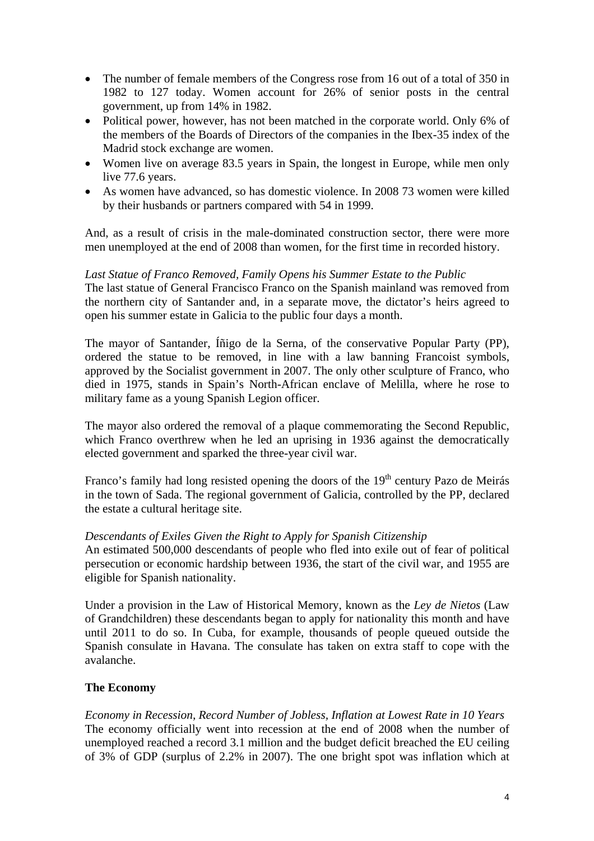- The number of female members of the Congress rose from 16 out of a total of 350 in 1982 to 127 today. Women account for 26% of senior posts in the central government, up from 14% in 1982.
- Political power, however, has not been matched in the corporate world. Only 6% of the members of the Boards of Directors of the companies in the Ibex-35 index of the Madrid stock exchange are women.
- Women live on average 83.5 years in Spain, the longest in Europe, while men only live 77.6 years.
- As women have advanced, so has domestic violence. In 2008 73 women were killed by their husbands or partners compared with 54 in 1999.

And, as a result of crisis in the male-dominated construction sector, there were more men unemployed at the end of 2008 than women, for the first time in recorded history.

# *Last Statue of Franco Removed, Family Opens his Summer Estate to the Public*

The last statue of General Francisco Franco on the Spanish mainland was removed from the northern city of Santander and, in a separate move, the dictator's heirs agreed to open his summer estate in Galicia to the public four days a month.

The mayor of Santander, Íñigo de la Serna, of the conservative Popular Party (PP), ordered the statue to be removed, in line with a law banning Francoist symbols, approved by the Socialist government in 2007. The only other sculpture of Franco, who died in 1975, stands in Spain's North-African enclave of Melilla, where he rose to military fame as a young Spanish Legion officer.

The mayor also ordered the removal of a plaque commemorating the Second Republic, which Franco overthrew when he led an uprising in 1936 against the democratically elected government and sparked the three-year civil war.

Franco's family had long resisted opening the doors of the  $19<sup>th</sup>$  century Pazo de Meirás in the town of Sada. The regional government of Galicia, controlled by the PP, declared the estate a cultural heritage site.

## *Descendants of Exiles Given the Right to Apply for Spanish Citizenship*

An estimated 500,000 descendants of people who fled into exile out of fear of political persecution or economic hardship between 1936, the start of the civil war, and 1955 are eligible for Spanish nationality.

Under a provision in the Law of Historical Memory, known as the *Ley de Nietos* (Law of Grandchildren) these descendants began to apply for nationality this month and have until 2011 to do so. In Cuba, for example, thousands of people queued outside the Spanish consulate in Havana. The consulate has taken on extra staff to cope with the avalanche.

# **The Economy**

*Economy in Recession, Record Number of Jobless, Inflation at Lowest Rate in 10 Years*  The economy officially went into recession at the end of 2008 when the number of unemployed reached a record 3.1 million and the budget deficit breached the EU ceiling of 3% of GDP (surplus of 2.2% in 2007). The one bright spot was inflation which at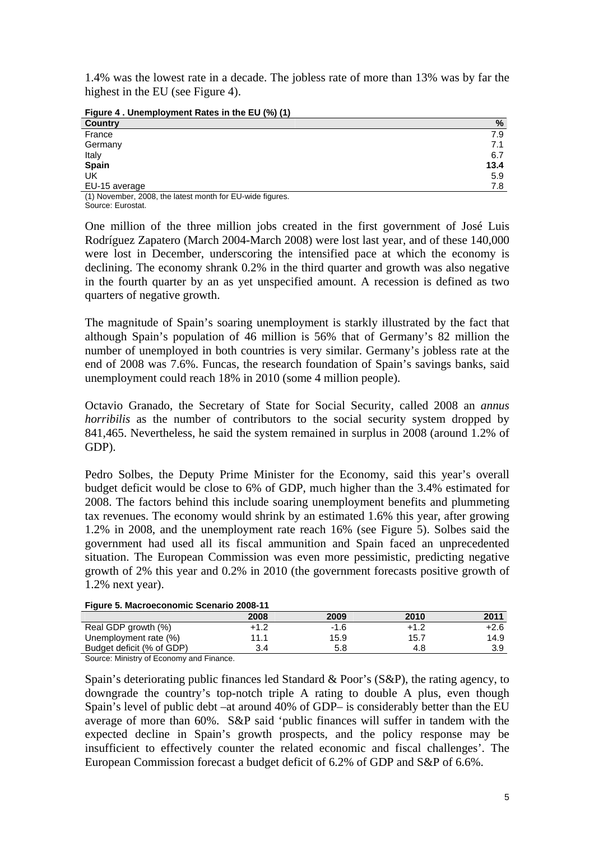1.4% was the lowest rate in a decade. The jobless rate of more than 13% was by far the highest in the EU (see Figure 4).

**Figure 4 . Unemployment Rates in the EU (%) (1)** 

| <b>Country</b>                                           | %    |
|----------------------------------------------------------|------|
| France                                                   | 7.9  |
| Germany                                                  | 7.1  |
| Italy                                                    | 6.7  |
| Spain                                                    | 13.4 |
| UK                                                       | 5.9  |
| EU-15 average                                            | 7.8  |
| (4) Nouamber 2000, the lotest menth for FII wide figures |      |

(1) November, 2008, the latest month for EU-wide figures. Source: Eurostat.

One million of the three million jobs created in the first government of José Luis Rodríguez Zapatero (March 2004-March 2008) were lost last year, and of these 140,000 were lost in December, underscoring the intensified pace at which the economy is declining. The economy shrank 0.2% in the third quarter and growth was also negative in the fourth quarter by an as yet unspecified amount. A recession is defined as two quarters of negative growth.

The magnitude of Spain's soaring unemployment is starkly illustrated by the fact that although Spain's population of 46 million is 56% that of Germany's 82 million the number of unemployed in both countries is very similar. Germany's jobless rate at the end of 2008 was 7.6%. Funcas, the research foundation of Spain's savings banks, said unemployment could reach 18% in 2010 (some 4 million people).

Octavio Granado, the Secretary of State for Social Security, called 2008 an *annus horribilis* as the number of contributors to the social security system dropped by 841,465. Nevertheless, he said the system remained in surplus in 2008 (around 1.2% of GDP).

Pedro Solbes, the Deputy Prime Minister for the Economy, said this year's overall budget deficit would be close to 6% of GDP, much higher than the 3.4% estimated for 2008. The factors behind this include soaring unemployment benefits and plummeting tax revenues. The economy would shrink by an estimated 1.6% this year, after growing 1.2% in 2008, and the unemployment rate reach 16% (see Figure 5). Solbes said the government had used all its fiscal ammunition and Spain faced an unprecedented situation. The European Commission was even more pessimistic, predicting negative growth of 2% this year and 0.2% in 2010 (the government forecasts positive growth of 1.2% next year).

| <b>Figure 5. Macroeconomic Scenario 2008-11</b> |        |        |        |        |  |  |  |
|-------------------------------------------------|--------|--------|--------|--------|--|--|--|
|                                                 | 2008   | 2009   | 2010   | 2011   |  |  |  |
| Real GDP growth (%)                             | $+1.2$ | $-1.6$ | $+1.2$ | $+2.6$ |  |  |  |
| Unemployment rate (%)                           | 11.1   | 15.9   | 15.7   | 14.9   |  |  |  |
| Budget deficit (% of GDP)                       | 3.4    | 5.8    | 4.8    | 3.9    |  |  |  |
| Source: Ministry of Economy and Finance.        |        |        |        |        |  |  |  |

#### **Figure 5. Macroeconomic Scenario 2008-11**

Spain's deteriorating public finances led Standard & Poor's (S&P), the rating agency, to downgrade the country's top-notch triple A rating to double A plus, even though Spain's level of public debt –at around 40% of GDP– is considerably better than the EU average of more than 60%. S&P said 'public finances will suffer in tandem with the expected decline in Spain's growth prospects, and the policy response may be insufficient to effectively counter the related economic and fiscal challenges'. The European Commission forecast a budget deficit of 6.2% of GDP and S&P of 6.6%.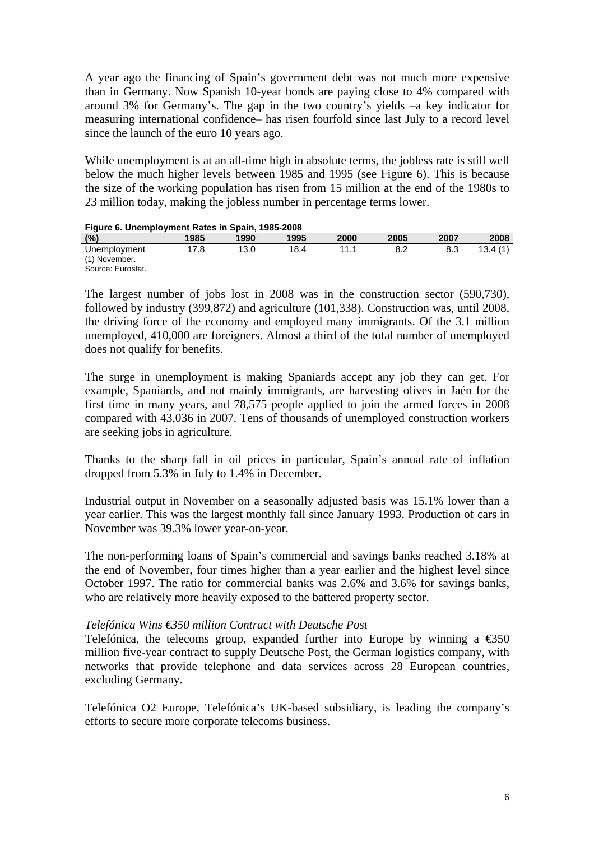A year ago the financing of Spain's government debt was not much more expensive than in Germany. Now Spanish 10-year bonds are paying close to 4% compared with around 3% for Germany's. The gap in the two country's yields –a key indicator for measuring international confidence– has risen fourfold since last July to a record level since the launch of the euro 10 years ago.

While unemployment is at an all-time high in absolute terms, the jobless rate is still well below the much higher levels between 1985 and 1995 (see Figure 6). This is because the size of the working population has risen from 15 million at the end of the 1980s to 23 million today, making the jobless number in percentage terms lower.

| <b>THAT'S OF OTION INTO THE HOLD OF THE DOOR TO A LOOD</b> |      |      |      |                |      |      |      |  |  |
|------------------------------------------------------------|------|------|------|----------------|------|------|------|--|--|
| (%)                                                        | 1985 | 1990 | 1995 | 2000           | 2005 | 2007 | 2008 |  |  |
| Unemployment                                               |      | 13.C | 18.4 | $\overline{A}$ | ◡.∠  | 8.3  | 13.4 |  |  |
| (1) November.                                              |      |      |      |                |      |      |      |  |  |

#### **Figure 6. Unemployment Rates in Spain, 1985-2008**

Source: Eurostat.

The largest number of jobs lost in 2008 was in the construction sector (590,730), followed by industry (399,872) and agriculture (101,338). Construction was, until 2008, the driving force of the economy and employed many immigrants. Of the 3.1 million unemployed, 410,000 are foreigners. Almost a third of the total number of unemployed does not qualify for benefits.

The surge in unemployment is making Spaniards accept any job they can get. For example, Spaniards, and not mainly immigrants, are harvesting olives in Jaén for the first time in many years, and 78,575 people applied to join the armed forces in 2008 compared with 43,036 in 2007. Tens of thousands of unemployed construction workers are seeking jobs in agriculture.

Thanks to the sharp fall in oil prices in particular, Spain's annual rate of inflation dropped from 5.3% in July to 1.4% in December.

Industrial output in November on a seasonally adjusted basis was 15.1% lower than a year earlier. This was the largest monthly fall since January 1993. Production of cars in November was 39.3% lower year-on-year.

The non-performing loans of Spain's commercial and savings banks reached 3.18% at the end of November, four times higher than a year earlier and the highest level since October 1997. The ratio for commercial banks was 2.6% and 3.6% for savings banks, who are relatively more heavily exposed to the battered property sector.

## *Telefónica Wins €350 million Contract with Deutsche Post*

Telefónica, the telecoms group, expanded further into Europe by winning a  $\epsilon$ 350 million five-year contract to supply Deutsche Post, the German logistics company, with networks that provide telephone and data services across 28 European countries, excluding Germany.

Telefónica O2 Europe, Telefónica's UK-based subsidiary, is leading the company's efforts to secure more corporate telecoms business.